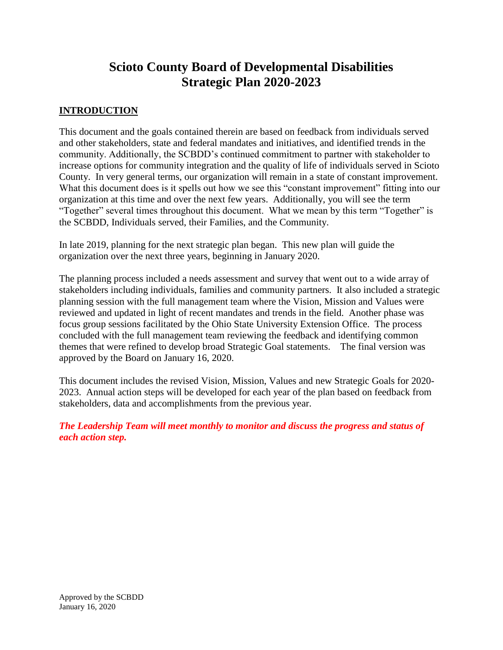# **Scioto County Board of Developmental Disabilities Strategic Plan 2020-2023**

#### **INTRODUCTION**

This document and the goals contained therein are based on feedback from individuals served and other stakeholders, state and federal mandates and initiatives, and identified trends in the community. Additionally, the SCBDD's continued commitment to partner with stakeholder to increase options for community integration and the quality of life of individuals served in Scioto County. In very general terms, our organization will remain in a state of constant improvement. What this document does is it spells out how we see this "constant improvement" fitting into our organization at this time and over the next few years. Additionally, you will see the term "Together" several times throughout this document. What we mean by this term "Together" is the SCBDD, Individuals served, their Families, and the Community.

In late 2019, planning for the next strategic plan began. This new plan will guide the organization over the next three years, beginning in January 2020.

The planning process included a needs assessment and survey that went out to a wide array of stakeholders including individuals, families and community partners. It also included a strategic planning session with the full management team where the Vision, Mission and Values were reviewed and updated in light of recent mandates and trends in the field. Another phase was focus group sessions facilitated by the Ohio State University Extension Office. The process concluded with the full management team reviewing the feedback and identifying common themes that were refined to develop broad Strategic Goal statements. The final version was approved by the Board on January 16, 2020.

This document includes the revised Vision, Mission, Values and new Strategic Goals for 2020- 2023. Annual action steps will be developed for each year of the plan based on feedback from stakeholders, data and accomplishments from the previous year.

*The Leadership Team will meet monthly to monitor and discuss the progress and status of each action step.*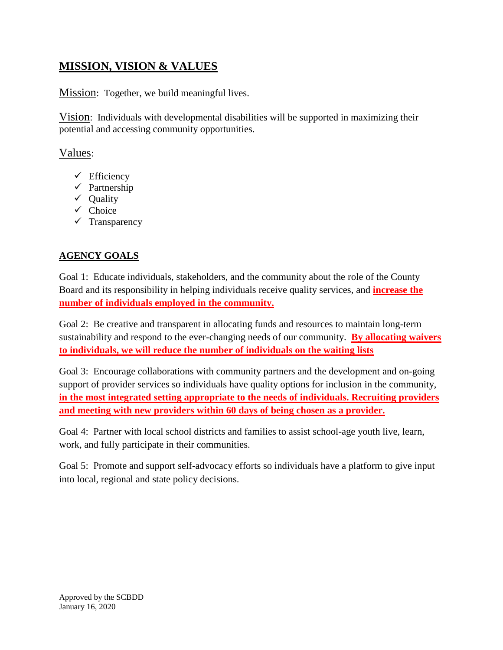## **MISSION, VISION & VALUES**

Mission: Together, we build meaningful lives.

Vision: Individuals with developmental disabilities will be supported in maximizing their potential and accessing community opportunities.

### Values:

- ✓ Efficiency
- ✓ Partnership
- ✓ Quality
- $\checkmark$  Choice
- ✓ Transparency

### **AGENCY GOALS**

Goal 1: Educate individuals, stakeholders, and the community about the role of the County Board and its responsibility in helping individuals receive quality services, and **increase the number of individuals employed in the community.**

Goal 2: Be creative and transparent in allocating funds and resources to maintain long-term sustainability and respond to the ever-changing needs of our community. **By allocating waivers to individuals, we will reduce the number of individuals on the waiting lists**

Goal 3: Encourage collaborations with community partners and the development and on-going support of provider services so individuals have quality options for inclusion in the community, **in the most integrated setting appropriate to the needs of individuals. Recruiting providers and meeting with new providers within 60 days of being chosen as a provider.** 

Goal 4: Partner with local school districts and families to assist school-age youth live, learn, work, and fully participate in their communities.

Goal 5: Promote and support self-advocacy efforts so individuals have a platform to give input into local, regional and state policy decisions.